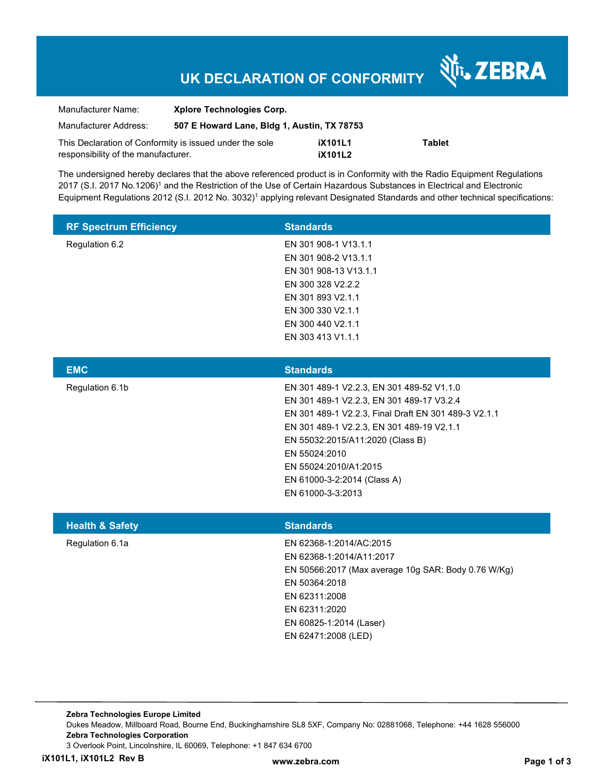# **UK DECLARATION OF CONFORMITY**

Nr. ZEBRA

| Manufacturer Name:                                      | <b>Xplore Technologies Corp.</b>            |                |               |
|---------------------------------------------------------|---------------------------------------------|----------------|---------------|
| Manufacturer Address:                                   | 507 E Howard Lane, Bldg 1, Austin, TX 78753 |                |               |
| This Declaration of Conformity is issued under the sole |                                             | <b>iX101L1</b> | <b>Tablet</b> |
| responsibility of the manufacturer.                     |                                             | <b>iX101L2</b> |               |

The undersigned hereby declares that the above referenced product is in Conformity with the Radio Equipment Regulations 2017 (S.I. 2017 No.1206)<sup>1</sup> and the Restriction of the Use of Certain Hazardous Substances in Electrical and Electronic Equipment Regulations 2012 (S.I. 2012 No. 3032)<sup>1</sup> applying relevant Designated Standards and other technical specifications:

| <b>RF Spectrum Efficiency</b> | <b>Standards</b>      |
|-------------------------------|-----------------------|
| Regulation 6.2                | EN 301 908-1 V13.1.1  |
|                               | EN 301 908-2 V13.1.1  |
|                               | EN 301 908-13 V13.1.1 |
|                               | EN 300 328 V2.2.2     |
|                               | EN 301 893 V2.1.1     |
|                               | EN 300 330 V2.1.1     |
|                               | EN 300 440 V2.1.1     |
|                               | EN 303 413 V1.1.1     |

| <b>EMC</b>      | <b>Standards</b>                                     |
|-----------------|------------------------------------------------------|
| Regulation 6.1b | EN 301 489-1 V2.2.3, EN 301 489-52 V1.1.0            |
|                 | EN 301 489-1 V2.2.3, EN 301 489-17 V3.2.4            |
|                 | EN 301 489-1 V2.2.3, Final Draft EN 301 489-3 V2.1.1 |
|                 | EN 301 489-1 V2.2.3, EN 301 489-19 V2.1.1            |
|                 | EN 55032:2015/A11:2020 (Class B)                     |
|                 | EN 55024:2010                                        |
|                 | EN 55024:2010/A1:2015                                |
|                 | EN 61000-3-2:2014 (Class A)                          |
|                 | EN 61000-3-3:2013                                    |
|                 |                                                      |

| <b>Health &amp; Safety</b> | <b>Standards</b>                                    |
|----------------------------|-----------------------------------------------------|
| Regulation 6.1a            | EN 62368-1:2014/AC:2015                             |
|                            | EN 62368-1:2014/A11:2017                            |
|                            | EN 50566:2017 (Max average 10g SAR: Body 0.76 W/Kg) |
|                            | EN 50364:2018                                       |
|                            | EN 62311:2008                                       |
|                            | EN 62311:2020                                       |
|                            | EN 60825-1:2014 (Laser)                             |
|                            | EN 62471:2008 (LED)                                 |
|                            |                                                     |

**Zebra Technologies Europe Limited**  Dukes Meadow, Millboard Road, Bourne End, Buckinghamshire SL8 5XF, Company No: 02881068, Telephone: +44 1628 556000 **Zebra Technologies Corporation**  3 Overlook Point, Lincolnshire, IL 60069, Telephone: +1 847 634 6700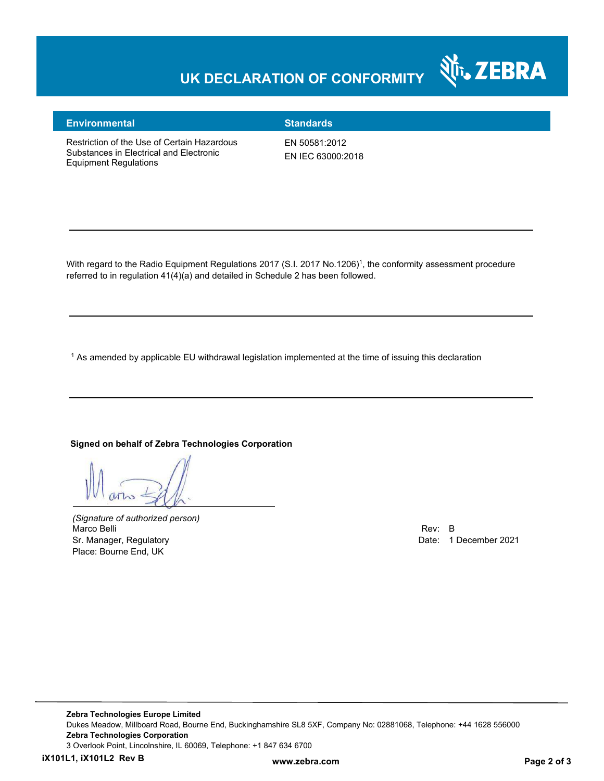# **UK DECLARATION OF CONFORMITY**



### **Environmental Standards**

Restriction of the Use of Certain Hazardous Substances in Electrical and Electronic Equipment Regulations

EN 50581:2012 EN IEC 63000:2018

With regard to the Radio Equipment Regulations 2017 (S.I. 2017 No.1206)<sup>1</sup>, the conformity assessment procedure referred to in regulation 41(4)(a) and detailed in Schedule 2 has been followed.

 $^{\rm 1}$  As amended by applicable EU withdrawal legislation implemented at the time of issuing this declaration

#### **Signed on behalf of Zebra Technologies Corporation**

*(Signature of authorized person)* Marco Belli Rev: B Sr. Manager, Regulatory **Date: 1 December 2021** Place: Bourne End, UK